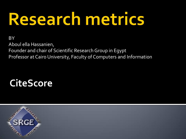# Research metrics

#### **BY**

Aboul ella Hassanien, Founder and chair of Scientific Research Group in Egypt Professor at Cairo University, Faculty of Computers and Information

### **CiteScore**

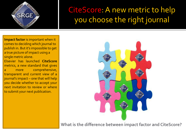

#### CiteScore: A new metric to help you choose the right journal

**Impact factor** is important when it comes to deciding which journal to publish in. But it's impossible to get a true picture of impact using a single metric alone. Elsevier has launched **CiteScore** metrics, a new standard that gives a more comprehensive,

transparent and current view of a journal's impact – one that will help you decide whether to accept your next invitation to review or where to submit your next publication.



**What is the difference between impact factor and CiteScore?**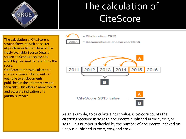

## The calculation of **CiteScore**

The calculation of CiteScore is straightforward with no secret algorithms or hidden details. The freely available Source Details screen on Scopus displays the exact figures used to determine the score.

CiteScore metrics calculate the citations from all documents in year one to all documents published in the prior three years for a title. This offers a more robust and accurate indication of a journal's impact



As an example, to calculate a 2015 value, CiteScore counts the citations received in 2015 to documents published in 2012, 2013 or 2014. This number is divided by the number of documents indexed on Scopus published in 2012, 2013 and 2014.